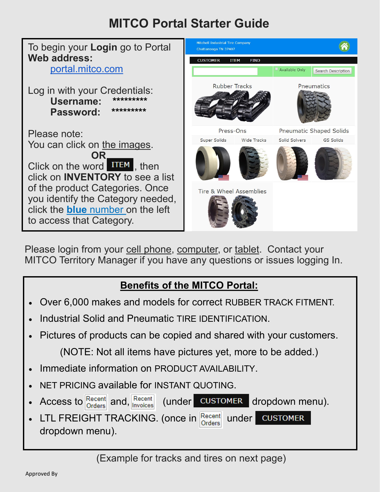## **MITCO Portal Starter Guide**



Please login from your cell phone, computer, or tablet. Contact your MITCO Territory Manager if you have any questions or issues logging In.

## **Benefits of the MITCO Portal:**

- Over 6,000 makes and models for correct RUBBER TRACK FITMENT.
- Industrial Solid and Pneumatic TIRE IDENTIFICATION.
- Pictures of products can be copied and shared with your customers. (NOTE: Not all items have pictures yet, more to be added.)
- Immediate information on PRODUCT AVAILABILITY.
- NET PRICING available for INSTANT QUOTING.
- Access to  $\frac{\text{Recent}}{\text{Order}}$  and,  $\frac{\text{Recent}}{\text{Inverse}}$  (under **CUSTOMER** dropdown menu).

LTL FREIGHT TRACKING. (once in  $\frac{\text{Recent  
Order}}{\text{Order}}$  under **CUSTOMER** dropdown menu).

(Example for tracks and tires on next page)